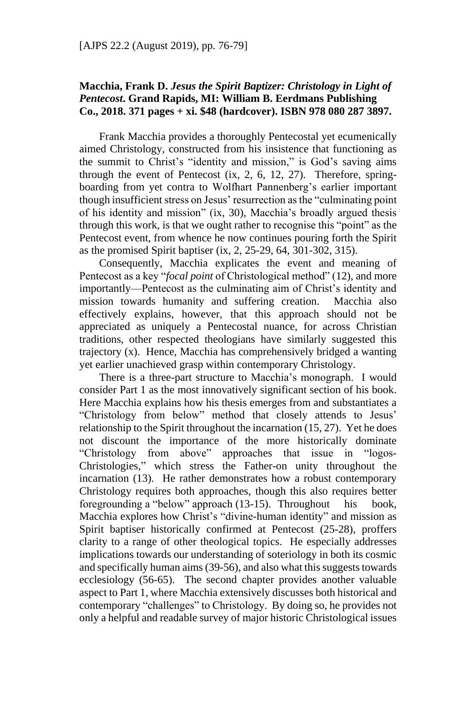## **Macchia, Frank D.** *Jesus the Spirit Baptizer: Christology in Light of Pentecost***. Grand Rapids, MI: William B. Eerdmans Publishing Co., 2018. 371 pages + xi. \$48 (hardcover). ISBN 978 080 287 3897.**

Frank Macchia provides a thoroughly Pentecostal yet ecumenically aimed Christology, constructed from his insistence that functioning as the summit to Christ's "identity and mission," is God's saving aims through the event of Pentecost (ix, 2, 6, 12, 27). Therefore, springboarding from yet contra to Wolfhart Pannenberg's earlier important though insufficient stress on Jesus' resurrection as the "culminating point of his identity and mission" (ix, 30), Macchia's broadly argued thesis through this work, is that we ought rather to recognise this "point" as the Pentecost event, from whence he now continues pouring forth the Spirit as the promised Spirit baptiser (ix, 2, 25-29, 64, 301-302, 315).

Consequently, Macchia explicates the event and meaning of Pentecost as a key "*focal point* of Christological method" (12), and more importantly—Pentecost as the culminating aim of Christ's identity and mission towards humanity and suffering creation. Macchia also effectively explains, however, that this approach should not be appreciated as uniquely a Pentecostal nuance, for across Christian traditions, other respected theologians have similarly suggested this trajectory (x). Hence, Macchia has comprehensively bridged a wanting yet earlier unachieved grasp within contemporary Christology.

There is a three-part structure to Macchia's monograph. I would consider Part 1 as the most innovatively significant section of his book. Here Macchia explains how his thesis emerges from and substantiates a "Christology from below" method that closely attends to Jesus' relationship to the Spirit throughout the incarnation (15, 27). Yet he does not discount the importance of the more historically dominate "Christology from above" approaches that issue in "logos-Christologies," which stress the Father-on unity throughout the incarnation (13). He rather demonstrates how a robust contemporary Christology requires both approaches, though this also requires better foregrounding a "below" approach (13-15). Throughout his book, Macchia explores how Christ's "divine-human identity" and mission as Spirit baptiser historically confirmed at Pentecost (25-28), proffers clarity to a range of other theological topics. He especially addresses implications towards our understanding of soteriology in both its cosmic and specifically human aims(39-56), and also what this suggests towards ecclesiology (56-65). The second chapter provides another valuable aspect to Part 1, where Macchia extensively discusses both historical and contemporary "challenges" to Christology. By doing so, he provides not only a helpful and readable survey of major historic Christological issues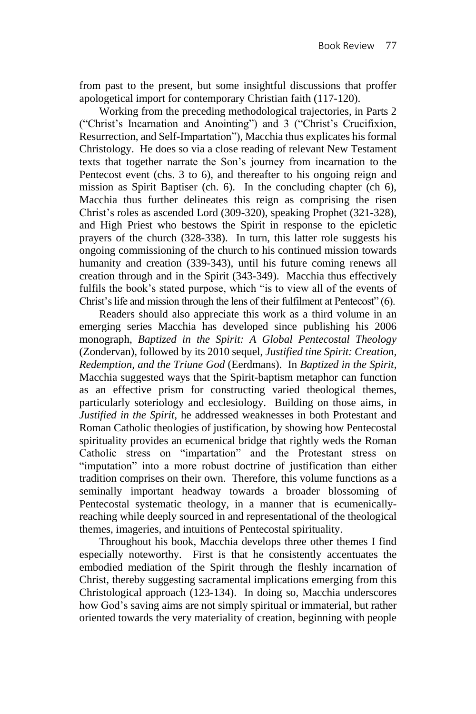from past to the present, but some insightful discussions that proffer apologetical import for contemporary Christian faith (117-120).

Working from the preceding methodological trajectories, in Parts 2 ("Christ's Incarnation and Anointing") and 3 ("Christ's Crucifixion, Resurrection, and Self-Impartation"), Macchia thus explicates his formal Christology. He does so via a close reading of relevant New Testament texts that together narrate the Son's journey from incarnation to the Pentecost event (chs. 3 to 6), and thereafter to his ongoing reign and mission as Spirit Baptiser (ch. 6). In the concluding chapter (ch 6), Macchia thus further delineates this reign as comprising the risen Christ's roles as ascended Lord (309-320), speaking Prophet (321-328), and High Priest who bestows the Spirit in response to the epicletic prayers of the church (328-338). In turn, this latter role suggests his ongoing commissioning of the church to his continued mission towards humanity and creation (339-343), until his future coming renews all creation through and in the Spirit (343-349). Macchia thus effectively fulfils the book's stated purpose, which "is to view all of the events of Christ's life and mission through the lens of their fulfilment at Pentecost" (6).

Readers should also appreciate this work as a third volume in an emerging series Macchia has developed since publishing his 2006 monograph, *Baptized in the Spirit: A Global Pentecostal Theology* (Zondervan), followed by its 2010 sequel, *Justified tine Spirit: Creation, Redemption, and the Triune God* (Eerdmans). In *Baptized in the Spirit*, Macchia suggested ways that the Spirit-baptism metaphor can function as an effective prism for constructing varied theological themes, particularly soteriology and ecclesiology. Building on those aims, in *Justified in the Spirit*, he addressed weaknesses in both Protestant and Roman Catholic theologies of justification, by showing how Pentecostal spirituality provides an ecumenical bridge that rightly weds the Roman Catholic stress on "impartation" and the Protestant stress on "imputation" into a more robust doctrine of justification than either tradition comprises on their own. Therefore, this volume functions as a seminally important headway towards a broader blossoming of Pentecostal systematic theology, in a manner that is ecumenicallyreaching while deeply sourced in and representational of the theological themes, imageries, and intuitions of Pentecostal spirituality.

Throughout his book, Macchia develops three other themes I find especially noteworthy. First is that he consistently accentuates the embodied mediation of the Spirit through the fleshly incarnation of Christ, thereby suggesting sacramental implications emerging from this Christological approach (123-134). In doing so, Macchia underscores how God's saving aims are not simply spiritual or immaterial, but rather oriented towards the very materiality of creation, beginning with people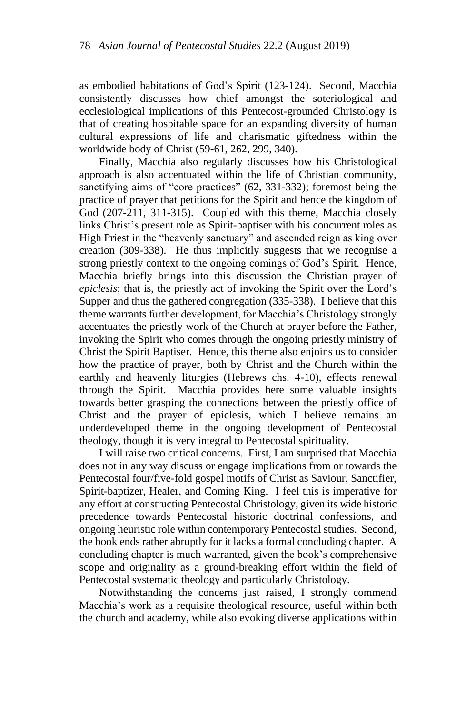as embodied habitations of God's Spirit (123-124). Second, Macchia consistently discusses how chief amongst the soteriological and ecclesiological implications of this Pentecost-grounded Christology is that of creating hospitable space for an expanding diversity of human cultural expressions of life and charismatic giftedness within the worldwide body of Christ (59-61, 262, 299, 340).

Finally, Macchia also regularly discusses how his Christological approach is also accentuated within the life of Christian community, sanctifying aims of "core practices" (62, 331-332); foremost being the practice of prayer that petitions for the Spirit and hence the kingdom of God (207-211, 311-315). Coupled with this theme, Macchia closely links Christ's present role as Spirit-baptiser with his concurrent roles as High Priest in the "heavenly sanctuary" and ascended reign as king over creation (309-338). He thus implicitly suggests that we recognise a strong priestly context to the ongoing comings of God's Spirit. Hence, Macchia briefly brings into this discussion the Christian prayer of *epiclesis*; that is, the priestly act of invoking the Spirit over the Lord's Supper and thus the gathered congregation (335-338). I believe that this theme warrants further development, for Macchia's Christology strongly accentuates the priestly work of the Church at prayer before the Father, invoking the Spirit who comes through the ongoing priestly ministry of Christ the Spirit Baptiser. Hence, this theme also enjoins us to consider how the practice of prayer, both by Christ and the Church within the earthly and heavenly liturgies (Hebrews chs. 4-10), effects renewal through the Spirit. Macchia provides here some valuable insights towards better grasping the connections between the priestly office of Christ and the prayer of epiclesis, which I believe remains an underdeveloped theme in the ongoing development of Pentecostal theology, though it is very integral to Pentecostal spirituality.

I will raise two critical concerns. First, I am surprised that Macchia does not in any way discuss or engage implications from or towards the Pentecostal four/five-fold gospel motifs of Christ as Saviour, Sanctifier, Spirit-baptizer, Healer, and Coming King. I feel this is imperative for any effort at constructing Pentecostal Christology, given its wide historic precedence towards Pentecostal historic doctrinal confessions, and ongoing heuristic role within contemporary Pentecostal studies. Second, the book ends rather abruptly for it lacks a formal concluding chapter. A concluding chapter is much warranted, given the book's comprehensive scope and originality as a ground-breaking effort within the field of Pentecostal systematic theology and particularly Christology.

Notwithstanding the concerns just raised, I strongly commend Macchia's work as a requisite theological resource, useful within both the church and academy, while also evoking diverse applications within